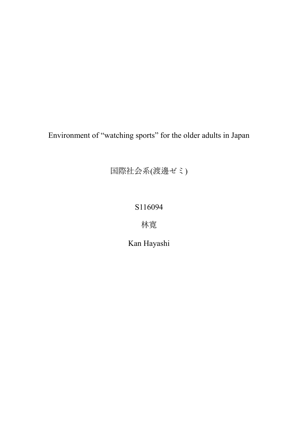Environment of "watching sports" for the older adults in Japan

国際社会系(渡邊ゼミ)

# S116094

林寛

Kan Hayashi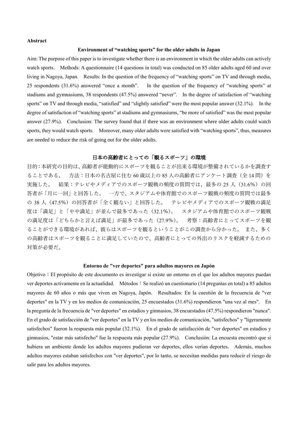### **Abstract**

### **Environment of "watching sports" for the older adults in Japan**

Aim: The purpose of this paper is to investigate whether there is an environment in which the older adults can actively watch sports. Methods: A questionnaire (14 questions in total) was conducted on 85 older adults aged 60 and over living in Nagoya, Japan. Results: In the question of the frequency of "watching sports" on TV and through media, 25 respondents (31.6%) answered "once a month". In the question of the frequency of "watching sports" at stadiums and gymnasiums, 38 respondents (47.5%) answered "never". In the degree of satisfaction of "watching sports" on TV and through media, "satisfied" and "slightly satisfied" were the most popular answer (32.1%). In the degree of satisfaction of "watching sports" at stadiums and gymnasiums, "be more of satisfied" was the most popular answer (27.9%). Conclusion: The survey found that if there was an environment where older adults could watch sports, they would watch sports. Moreover, many older adults were satisfied with "watching sports", thus, measures are needed to reduce the risk of going out for the older adults.

# 日本の高齢者にとっての「観るスポーツ」の環境

目的:本研究の目的は、高齢者が能動的にスポーツを観ることが出来る環境が整備されているかを調査す ることである。 方法:日本の名古屋に住む 60 歳以上の 85 人の高齢者にアンケート調査(全 14 問)を 実施した。 結果:テレビやメディアでのスポーツ観戦の頻度の質問では、最多の 25 人 (31.6%)の回 答者が「月に一回」と回答した。 一方で、スタジアムや体育館でのスポーツ観戦の頻度の質問では最多 の 38 人 (47.5%) の回答者が「全く観ない」と回答した。 テレビやメディアでのスポーツ観戦の満足 度は「満足」と「やや満足」が並んで最多であった(32.1%)。 スタジアムや体育館でのスポーツ観戦 の満足度は「どちらかと言えば満足」が最多であった(27.9%)。 考察:高齢者にとってスポーツを観 ることができる環境があれば、彼らはスポーツを観るということがこの調査から分かった。 また、多く の高齢者はスポーツを観ることに満足していたので、高齢者にとっての外出のリスクを軽減するための 対策が必要だ。

#### **Entorno de "ver deportes" para adultos mayores en Japón**

Objetivo:El propósito de este documento es investigar si existe un entorno en el que los adultos mayores puedan ver deportes activamente en la actualidad. Métodos: Se realizó un cuestionario (14 preguntas en total) a 85 adultos mayores de 60 años o más que viven en Nagoya, Japón. Resultados: En la cuestión de la frecuencia de "ver deportes" en la TV y en los medios de comunicación, 25 encuestados (31.6%) respondieron "una vez al mes". En la pregunta de la frecuencia de "ver deportes" en estadios y gimnasios, 38 encuestados (47.5%) respondieron "nunca". En el grado de satisfacción de "ver deportes" en la TV y en los medios de comunicación, "satisfechos" y "ligeramente satisfechos" fueron la respuesta más popular (32.1%). En el grado de satisfacción de "ver deportes" en estadios y gimnasios, "estar más satisfecho" fue la respuesta más popular (27.9%). Conclusión: La encuesta encontró que si hubiera un ambiente donde los adultos mayores pudieran ver deportes, ellos verían deportes. Además, muchos adultos mayores estaban satisfechos con "ver deportes", por lo tanto, se necesitan medidas para reducir el riesgo de salir para los adultos mayores.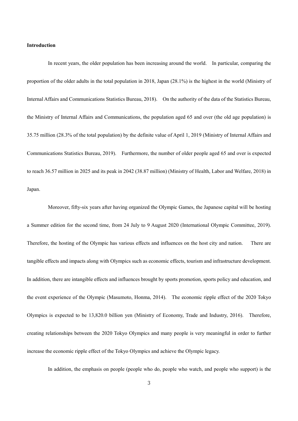#### **Introduction**

In recent years, the older population has been increasing around the world. In particular, comparing the proportion of the older adults in the total population in 2018, Japan (28.1%) is the highest in the world (Ministry of Internal Affairs and Communications Statistics Bureau, 2018). On the authority of the data of the Statistics Bureau, the Ministry of Internal Affairs and Communications, the population aged 65 and over (the old age population) is 35.75 million (28.3% of the total population) by the definite value of April 1, 2019 (Ministry of Internal Affairs and Communications Statistics Bureau, 2019). Furthermore, the number of older people aged 65 and over is expected to reach 36.57 million in 2025 and its peak in 2042 (38.87 million) (Ministry of Health, Labor and Welfare, 2018) in Japan.

Moreover, fifty-six years after having organized the Olympic Games, the Japanese capital will be hosting a Summer edition for the second time, from 24 July to 9 August 2020 (International Olympic Committee, 2019). Therefore, the hosting of the Olympic has various effects and influences on the host city and nation. There are tangible effects and impacts along with Olympics such as economic effects, tourism and infrastructure development. In addition, there are intangible effects and influences brought by sports promotion, sports policy and education, and the event experience of the Olympic (Masumoto, Honma, 2014). The economic ripple effect of the 2020 Tokyo Olympics is expected to be 13,820.0 billion yen (Ministry of Economy, Trade and Industry, 2016). Therefore, creating relationships between the 2020 Tokyo Olympics and many people is very meaningful in order to further increase the economic ripple effect of the Tokyo Olympics and achieve the Olympic legacy.

In addition, the emphasis on people (people who do, people who watch, and people who support) is the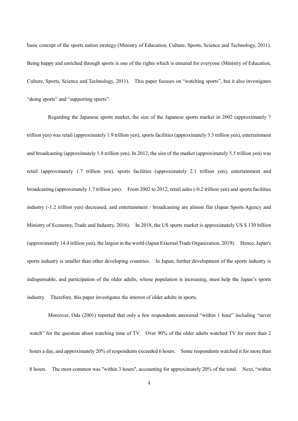basic concept of the sports nation strategy (Ministry of Education, Culture, Sports, Science and Technology, 2011). Being happy and enriched through sports is one of the rights which is ensured for everyone (Ministry of Education, Culture, Sports, Science and Technology, 2011). This paper focuses on "watching sports", but it also investigates "doing sports" and "supporting sports".

Regarding the Japanese sports market, the size of the Japanese sports market in 2002 (approximately 7 trillion yen) was retail (approximately 1.9 trillion yen), sports facilities (approximately 3.3 trillion yen), entertainment and broadcasting (approximately 1.8 trillion yen). In 2012, the size of the market (approximately 5.5 trillion yen) was retail (approximately 1.7 trillion yen), sports facilities (approximately 2.1 trillion yen), entertainment and broadcasting (approximately 1.7 trillion yen). From 2002 to 2012, retail sales (-0.2 trillion yen) and sports facilities industry (-1.2 trillion yen) decreased, and entertainment / broadcasting are almost flat (Japan Sports Agency and Ministry of Economy, Trade and Industry, 2016). In 2018, the US sports market is approximately US \$ 130 billion (approximately 14.4 trillion yen), the largest in the world (Japan External Trade Organization, 2019). Hence, Japan's sports industry is smaller than other developing countries. In Japan, further development of the sports industry is indispensable, and participation of the older adults, whose population is increasing, must help the Japan's sports industry. Therefore, this paper investigates the interest of older adults in sports.

Moreover, Oda (2001) reported that only a few respondents answered "within 1 hour" including "never watch" for the question about watching time of TV. Over 90% of the older adults watched TV for more than 2 hours a day, and approximately 20% of respondents exceeded 6 hours. Some respondents watched it for more than 8 hours. The most common was "within 3 hours", accounting for approximately 20% of the total. Next, "within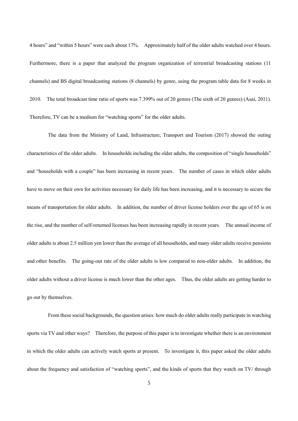4 hours" and "within 5 hours" were each about 17%. Approximately half of the older adults watched over 4 hours. Furthermore, there is a paper that analyzed the program organization of terrestrial broadcasting stations (11 channels) and BS digital broadcasting stations (8 channels) by genre, using the program table data for 8 weeks in 2010. The total broadcast time ratio of sports was 7.399% out of 20 genres (The sixth of 20 genres) (Asai, 2011). Therefore, TV can be a medium for "watching sports" for the older adults.

The data from the Ministry of Land, Infrastructure, Transport and Tourism (2017) showed the outing characteristics of the older adults. In households including the older adults, the composition of "single households" and "households with a couple" has been increasing in recent years. The number of cases in which older adults have to move on their own for activities necessary for daily life has been increasing, and it is necessary to secure the means of transportation for older adults. In addition, the number of driver license holders over the age of 65 is on the rise, and the number of self-returned licenses has been increasing rapidly in recent years. The annual income of older adults is about 2.5 million yen lower than the average of all households, and many older adults receive pensions and other benefits. The going-out rate of the older adults is low compared to non-older adults. In addition, the older adults without a driver license is much lower than the other ages. Thus, the older adults are getting harder to go out by themselves.

From these social backgrounds, the question arises: how much do older adults really participate in watching sports via TV and other ways? Therefore, the purpose of this paper is to investigate whether there is an environment in which the older adults can actively watch sports at present. To investigate it, this paper asked the older adults about the frequency and satisfaction of "watching sports", and the kinds of sports that they watch on TV/ through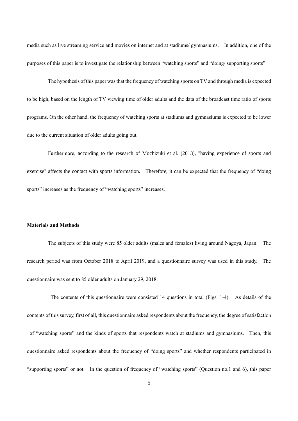media such as live streaming service and movies on internet and at stadiums/ gymnasiums. In addition, one of the purposes of this paper is to investigate the relationship between "watching sports" and "doing/ supporting sports".

The hypothesis of this paper wasthat the frequency of watching sports on TV and through media is expected to be high, based on the length of TV viewing time of older adults and the data of the broadcast time ratio of sports programs. On the other hand, the frequency of watching sports at stadiums and gymnasiums is expected to be lower due to the current situation of older adults going out.

Furthermore, according to the research of Mochizuki et al. (2013), "having experience of sports and exercise" affects the contact with sports information. Therefore, it can be expected that the frequency of "doing sports" increases as the frequency of "watching sports" increases.

### **Materials and Methods**

The subjects of this study were 85 older adults (males and females) living around Nagoya, Japan. The research period was from October 2018 to April 2019, and a questionnaire survey was used in this study. The questionnaire was sent to 85 older adults on January 29, 2018.

The contents of this questionnaire were consisted 14 questions in total (Figs. 1-4). As details of the contents of this survey, first of all, this questionnaire asked respondents about the frequency, the degree of satisfaction of "watching sports" and the kinds of sports that respondents watch at stadiums and gymnasiums. Then, this questionnaire asked respondents about the frequency of "doing sports" and whether respondents participated in "supporting sports" or not. In the question of frequency of "watching sports" (Question no.1 and 6), this paper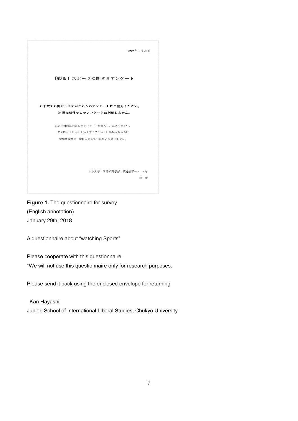

**Figure 1.** The questionnaire for survey (English annotation) January 29th, 2018

A questionnaire about "watching Sports"

Please cooperate with this questionnaire.

\*We will not use this questionnaire only for research purposes.

Please send it back using the enclosed envelope for returning

Kan Hayashi Junior, School of International Liberal Studies, Chukyo University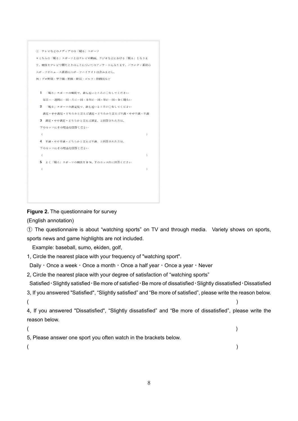```
(1) テレビなどのメディアでの「観る」スポーツ
*こちらの「観る」スポーツとはテレビや動画、ラジオなどにおける「観る」となりま
す。競技をテレビで観たときのことについてのアンケートになります。バラエティ番組の
スポーツやニュース番組のスポーツハイライトは含みません。
例:プロ野球・甲子園・相撲・駅伝・ゴルフ・格闘技など
 1 「観る」スポーツの頻度で、最も近いところに○をしてください
  毎日・一週間に一回・月に一回・半年に一回・年に一回・全く観ない
 2 「観る」スポーツの満足度で、最も近いところに○をしてください
  満足・やや満足・どちらかと言えば満足・どちらかと言えば不満・やや不満・不満
 3 満足・やや満足・どちらかと言えば満足、と回答された方は、
 下のカッコにその理由を回答ください
 4 不満・やや不満・どちらかと言えば不満、と回答された方は、
 下のカッコにその理由を回答ください
  \left(\lambda5 よく「観る」スポーツの競技を1つ、下のカッコ内に回答ください
  \epsilon\mathbf{v}
```
**Figure 2.** The questionnaire for survey

(English annotation)

① The questionnaire is about "watching sports" on TV and through media. Variety shows on sports, sports news and game highlights are not included.

Example: baseball, sumo, ekiden, golf,

1, Circle the nearest place with your frequency of "watching sport".

Daily・Once a week・Once a month・Once a half year・Once a year・Never

- 2, Circle the nearest place with your degree of satisfaction of "watching sports" Satisfied・Slightly satisfied・Be more of satisfied・Be more of dissatisfied・Slightly dissatisfied・Dissatisfied
- 3, If you answered "Satisfied", "Slightly satisfied" and "Be more of satisfied", please write the reason below.  $($

4, If you answered "Dissatisfied", "Slightly dissatisfied" and "Be more of dissatisfied", please write the reason below.

```
(5, Please answer one sport you often watch in the brackets below.
(
```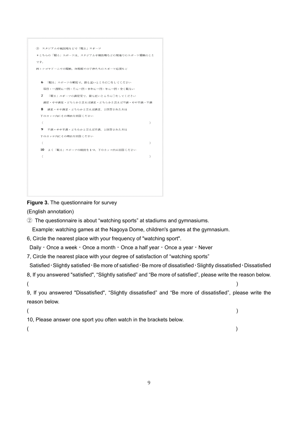```
2 スタジアムや競技場などで「観る」スポーツ
* こちらの「観る」スポーツは、スタジアムや競技場などの現地でのスポーツ観戦のこと
です。
例:ナゴヤドームでの観戦、体育館での子供たちのスポーツ応援など
  6 「観る」スポーツの頻度で、最も近いところに○をしてください
  毎日・一週間に一回・月に一回・半年に一回・年に一回・全く観ない
 7 「観る」スポーツの満足度で、最も近いところに○をしてください
  満足・やや満足・どちらかと言えば満足・どちらかと言えば不満・やや不満・不満
  8 満足・やや満足・どちらかと言えば満足、と回答された方は
 下のカッコ内にその理由を回答ください
                                         Y.
  9 不満・やや不満・どちらかと言えば不満、と回答された方は
 下のカッコ内にその理由を回答ください
                                         \lambda10 よく「観る」スポーツの競技を1つ、下のカッコ内に回答ください
  \left(\lambda
```
# **Figure 3.** The questionnaire for survey

(English annotation)

② The questionnaire is about "watching sports" at stadiums and gymnasiums.

Example: watching games at the Nagoya Dome, children's games at the gymnasium.

6, Circle the nearest place with your frequency of "watching sport".

Daily・Once a week・Once a month・Once a half year・Once a year・Never

7, Circle the nearest place with your degree of satisfaction of "watching sports"

Satisfied・Slightly satisfied・Be more of satisfied・Be more of dissatisfied・Slightly dissatisfied・Dissatisfied

```
8, If you answered "satisfied", "Slightly satisfied" and "Be more of satisfied", please write the reason below.
(
```
9, If you answered "Dissatisfied", "Slightly dissatisfied" and "Be more of dissatisfied", please write the reason below.

```
(10, Please answer one sport you often watch in the brackets below.
(
```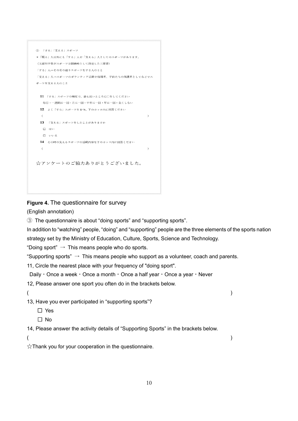```
3 「する」「支える」スポーツ
*「観る」人以外にも「する」人や「支える」人としてのスポーツがあります。
(文部科学省がスポーツ立国戦略として設定した三要素)
「する」人→その名の通りスポーツをする人のこと
「支える」人→スポーツのボランティア活動や指導者、子供たちの保護者としてなどでス
ポーツを支える人のこと
 11 「する」スポーツの頻度で、最も近いところに○をしてください
  毎日・一週間に一回・月に一回・半年に一回・年に一回・全くしない
 12 よく「する」スポーツを1つ、下のカッコ内に回答ください
  \epsilon\lambda13 「支える」スポーツをしたことがありますか
  \Box it\veeローいいえ
 14 その時の支えるスポーツの活動内容を下のカッコ内に回答ください
  \epsilon\mathcal{L}☆アンケートのご協力ありがとうございました。
```
# **Figure 4.** The questionnaire for survey

(English annotation)

③ The questionnaire is about "doing sports" and "supporting sports".

In addition to "watching" people, "doing" and "supporting" people are the three elements of the sports nation strategy set by the Ministry of Education, Culture, Sports, Science and Technology.

"Doing sport"  $\rightarrow$  This means people who do sports.

"Supporting sports"  $\rightarrow$  This means people who support as a volunteer, coach and parents.

11, Circle the nearest place with your frequency of "doing sport".

Daily・Once a week・Once a month・Once a half year・Once a year・Never

12, Please answer one sport you often do in the brackets below.

 $($ 

13, Have you ever participated in "supporting sports"?

- □ Yes
- □ No

14, Please answer the activity details of "Supporting Sports" in the brackets below.

 $($ 

 $\chi$ Thank you for your cooperation in the questionnaire.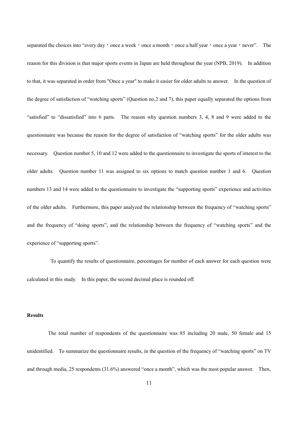separated the choices into "every day  $\cdot$  once a week  $\cdot$  once a month  $\cdot$  once a half year  $\cdot$  once a year  $\cdot$  never". The reason for this division is that major sports events in Japan are held throughout the year (NPB, 2019). In addition to that, it was separated in order from "Once a year" to make it easier for older adults to answer. In the question of the degree of satisfaction of "watching sports" (Question no.2 and 7), this paper equally separated the options from "satisfied" to "dissatisfied" into 6 parts. The reason why question numbers 3, 4, 8 and 9 were added to the questionnaire was because the reason for the degree of satisfaction of "watching sports" for the older adults was necessary. Question number 5, 10 and 12 were added to the questionnaire to investigate the sports of interest to the older adults. Question number 11 was assigned to six options to match question number 1 and 6. Question numbers 13 and 14 were added to the questionnaire to investigate the "supporting sports" experience and activities of the older adults. Furthermore, this paper analyzed the relationship between the frequency of "watching sports" and the frequency of "doing sports", and the relationship between the frequency of "watching sports" and the experience of "supporting sports".

To quantify the results of questionnaire, percentages for number of each answer for each question were calculated in this study. In this paper, the second decimal place is rounded off.

## **Results**

The total number of respondents of the questionnaire was 85 including 20 male, 50 female and 15 unidentified. To summarize the questionnaire results, in the question of the frequency of "watching sports" on TV and through media, 25 respondents (31.6%) answered "once a month", which was the most popular answer. Then,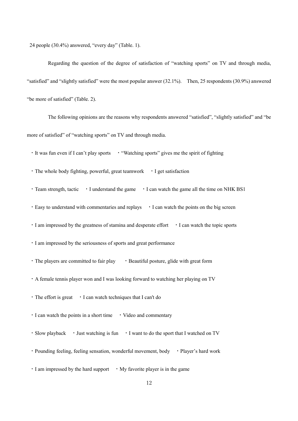24 people (30.4%) answered, "every day" (Table. 1).

Regarding the question of the degree of satisfaction of "watching sports" on TV and through media, "satisfied" and "slightly satisfied" were the most popular answer (32.1%). Then, 25 respondents (30.9%) answered "be more of satisfied" (Table. 2).

The following opinions are the reasons why respondents answered "satisfied", "slightly satisfied" and "be more of satisfied" of "watching sports" on TV and through media.

・It was fun even if I can't play sports ・"Watching sports" gives me the spirit of fighting

・The whole body fighting, powerful, great teamwork ・I get satisfaction

• Team strength, tactic • I understand the game • I can watch the game all the time on NHK BS1

・Easy to understand with commentaries and replays ・I can watch the points on the big screen

・I am impressed by the greatness of stamina and desperate effort ・I can watch the topic sports

・I am impressed by the seriousness of sports and great performance

• The players are committed to fair play • Beautiful posture, glide with great form

・A female tennis player won and I was looking forward to watching her playing on TV

・The effort is great ・I can watch techniques that I can't do

• I can watch the points in a short time • Video and commentary

• Slow playback • Just watching is fun • I want to do the sport that I watched on TV

• Pounding feeling, feeling sensation, wonderful movement, body • Player's hard work

 $\cdot$  I am impressed by the hard support  $\cdot$  My favorite player is in the game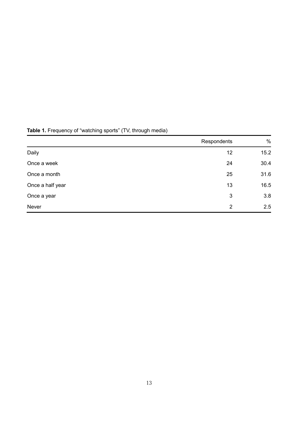|                  | Respondents | $\%$ |
|------------------|-------------|------|
| Daily            | 12          | 15.2 |
| Once a week      | 24          | 30.4 |
| Once a month     | 25          | 31.6 |
| Once a half year | 13          | 16.5 |
| Once a year      | 3           | 3.8  |
| Never            | 2           | 2.5  |

# **Table 1.** Frequency of "watching sports" (TV, through media)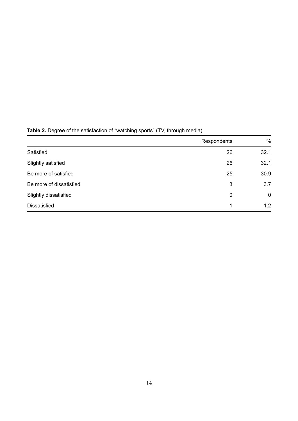|                         | Respondents | $\%$        |
|-------------------------|-------------|-------------|
| Satisfied               | 26          | 32.1        |
| Slightly satisfied      | 26          | 32.1        |
| Be more of satisfied    | 25          | 30.9        |
| Be more of dissatisfied | 3           | 3.7         |
| Slightly dissatisfied   | 0           | $\mathbf 0$ |
| <b>Dissatisfied</b>     | 1           | 1.2         |

# **Table 2.** Degree of the satisfaction of "watching sports" (TV, through media)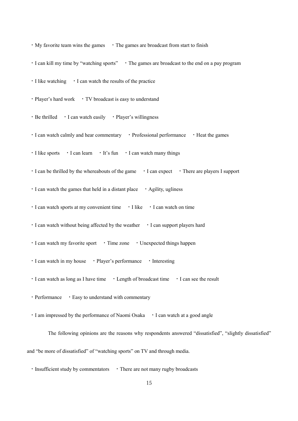$\cdot$  My favorite team wins the games  $\cdot$  The games are broadcast from start to finish • I can kill my time by "watching sports" • The games are broadcast to the end on a pay program ・I like watching ・I can watch the results of the practice • Player's hard work • TV broadcast is easy to understand • Be thrilled • I can watch easily • Player's willingness ・I can watch calmly and hear commentary ・Professional performance ・Heat the games  $\cdot$  I like sports  $\cdot$  I can learn  $\cdot$  It's fun  $\cdot$  I can watch many things ・I can be thrilled by the whereabouts of the game ・I can expect ・There are players I support  $\cdot$  I can watch the games that held in a distant place  $\cdot$  Agility, ugliness ・I can watch sports at my convenient time ・I like ・I can watch on time ・I can watch without being affected by the weather ・I can support players hard ・I can watch my favorite sport ・Time zone ・Unexpected things happen ・I can watch in my house ・Player's performance ・Interesting ・I can watch as long as I have time ・Length of broadcast time ・I can see the result ・Performance ・Easy to understand with commentary ・I am impressed by the performance of Naomi Osaka ・I can watch at a good angle

The following opinions are the reasons why respondents answered "dissatisfied", "slightly dissatisfied" and "be more of dissatisfied" of "watching sports" on TV and through media.

 $\cdot$  Insufficient study by commentators  $\cdot$  There are not many rugby broadcasts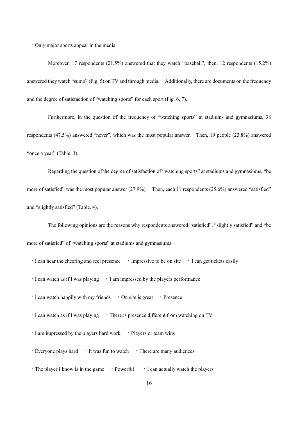・Only major sports appear in the media

Moreover, 17 respondents (21.5%) answered that they watch "baseball", then, 12 respondents (15.2%) answered they watch "sumo" (Fig. 5) on TV and through media. Additionally, there are documents on the frequency and the degree of satisfaction of "watching sports" for each sport (Fig. 6, 7).

Furthermore, in the question of the frequency of "watching sports" at stadiums and gymnasiums, 38 respondents (47.5%) answered "never", which was the most popular answer. Then, 19 people (23.8%) answered "once a year" (Table. 3).

Regarding the question of the degree of satisfaction of "watching sports" at stadiums and gymnasiums, "be more of satisfied" was the most popular answer (27.9%). Then, each 11 respondents (25.6%) answered "satisfied" and "slightly satisfied" (Table. 4).

The following opinions are the reasons why respondents answered "satisfied", "slightly satisfied" and "be more of satisfied" of "watching sports" at stadiums and gymnasiums.

・I can hear the cheering and feel presence ・Impressive to be on site ・I can get tickets easily

・I can watch as if I was playing ・I am impressed by the players performance

 $\cdot$  I can watch happily with my friends  $\cdot$  On site is great  $\cdot$  Presence

• I can watch as if I was playing • There is presence different from watching on TV

• I am impressed by the players hard work • Players or team wins

 $\cdot$  Everyone plays hard  $\cdot$  It was fun to watch  $\cdot$  There are many audiences

 $\cdot$  The player I know is in the game  $\cdot$  Powerful  $\cdot$  I can actually watch the players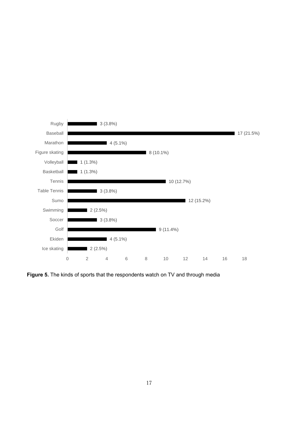

**Figure 5.** The kinds of sports that the respondents watch on TV and through media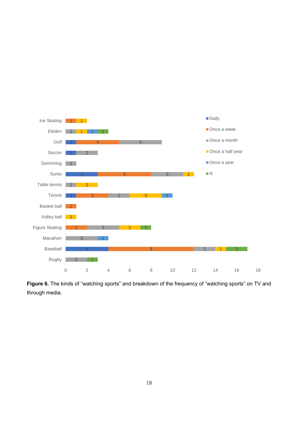

**Figure 6.** The kinds of "watching sports" and breakdown of the frequency of "watching sports" on TV and through media.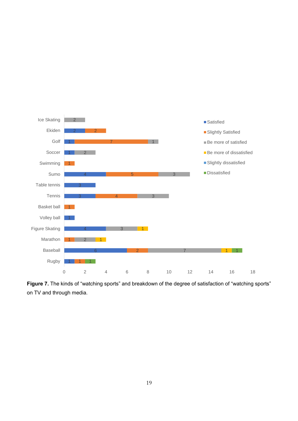

**Figure 7.** The kinds of "watching sports" and breakdown of the degree of satisfaction of "watching sports" on TV and through media.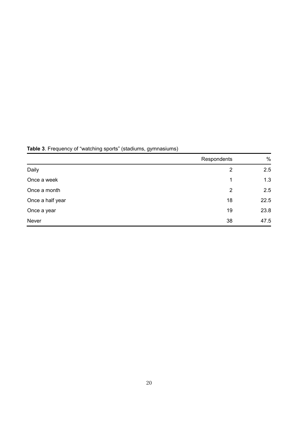|                  | Respondents    | $\%$ |
|------------------|----------------|------|
| Daily            | 2              | 2.5  |
| Once a week      | 1              | 1.3  |
| Once a month     | $\overline{2}$ | 2.5  |
| Once a half year | 18             | 22.5 |
| Once a year      | 19             | 23.8 |
| Never            | 38             | 47.5 |

**Table 3**. Frequency of "watching sports" (stadiums, gymnasiums)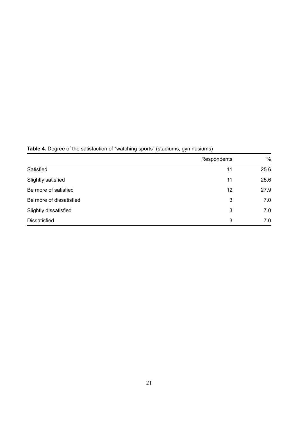|                         | Respondents | $\%$ |
|-------------------------|-------------|------|
| Satisfied               | 11          | 25.6 |
| Slightly satisfied      | 11          | 25.6 |
| Be more of satisfied    | 12          | 27.9 |
| Be more of dissatisfied | 3           | 7.0  |
| Slightly dissatisfied   | 3           | 7.0  |
| <b>Dissatisfied</b>     | 3           | 7.0  |

**Table 4.** Degree of the satisfaction of "watching sports" (stadiums, gymnasiums)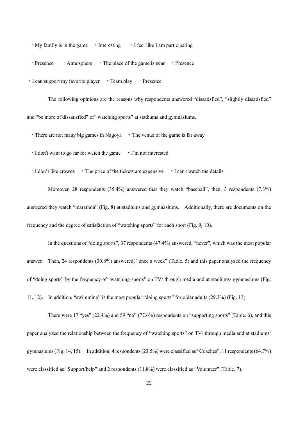• My family is in the game • Interesting • I feel like I am participating

• Presence • Atmosphere • The place of the game is near • Presence

・I can support my favorite player ・Team play ・Presence

The following opinions are the reasons why respondents answered "dissatisfied", "slightly dissatisfied" and "be more of dissatisfied" of "watching sports" at stadiums and gymnasiums.

 $\cdot$  There are not many big games in Nagoya  $\cdot$  The venue of the game is far away

・I don't want to go far for watch the game ・I'm not interested

・I don't like crowds ・The price of the tickets are expensive ・I can't watch the details

Moreover, 28 respondents (35.4%) answered that they watch "baseball", then, 3 respondents (7.3%) answered they watch "marathon" (Fig. 8) at stadiums and gymnasiums. Additionally, there are documents on the frequency and the degree of satisfaction of "watching sports" for each sport (Fig. 9, 10).

In the questions of "doing sports", 37 respondents (47.4%) answered, "never", which was the most popular answer. Then, 24 respondents (30.8%) answered, "once a week" (Table. 5) and this paper analyzed the frequency of "doing sports" by the frequency of "watching sports" on TV/ through media and at stadiums/ gymnasiums (Fig.

11, 12). In addition, "swimming" is the most popular "doing sports" for older adults (29.3%) (Fig. 13).

There were 17 "yes" (22.4%) and 59 "no" (77.6%) respondents on "supporting sports" (Table. 6), and this paper analyzed the relationship between the frequency of "watching sports" on TV/ through media and at stadiums/ gymnasiums (Fig. 14, 15). In addition, 4 respondents (23.5%) were classified as "Coaches", 11 respondents (64.7%) were classified as "Support/help" and 2 respondents (11.8%) were classified as "Volunteer" (Table. 7).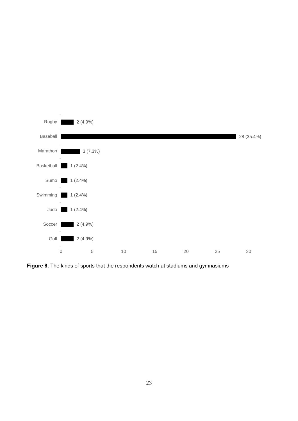

**Figure 8.** The kinds of sports that the respondents watch at stadiums and gymnasiums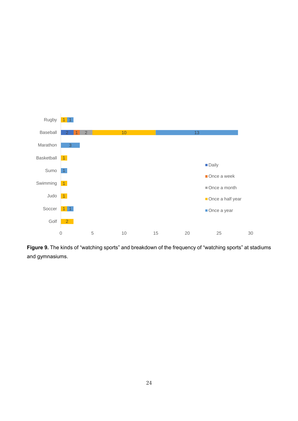

**Figure 9.** The kinds of "watching sports" and breakdown of the frequency of "watching sports" at stadiums and gymnasiums.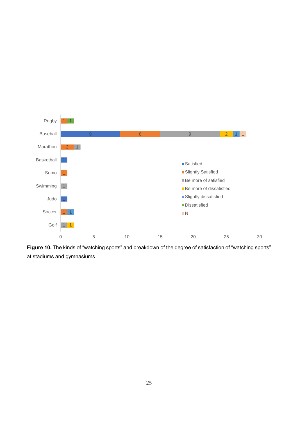

**Figure 10.** The kinds of "watching sports" and breakdown of the degree of satisfaction of "watching sports" at stadiums and gymnasiums.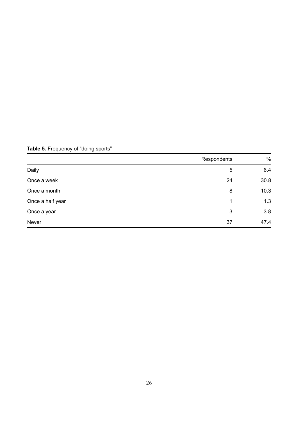|                  | Respondents | $\frac{0}{0}$ |
|------------------|-------------|---------------|
| Daily            | 5           | 6.4           |
| Once a week      | 24          | 30.8          |
| Once a month     | 8           | 10.3          |
| Once a half year | 1           | 1.3           |
| Once a year      | 3           | 3.8           |
| Never            | 37          | 47.4          |

**Table 5.** Frequency of "doing sports"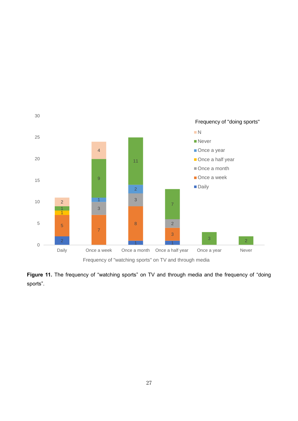

Figure 11. The frequency of "watching sports" on TV and through media and the frequency of "doing sports".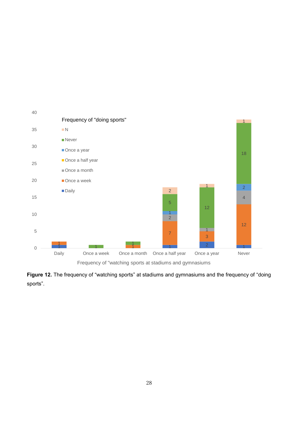

**Figure 12.** The frequency of "watching sports" at stadiums and gymnasiums and the frequency of "doing sports".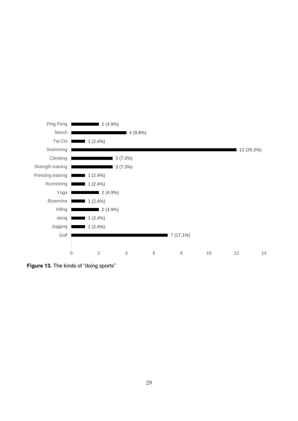

**Figure 13.** The kinds of "doing sports"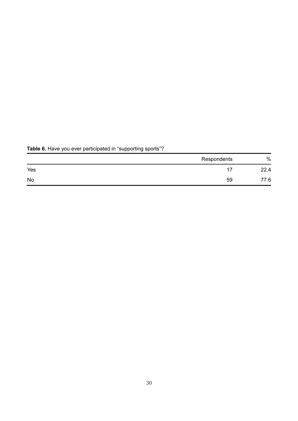|     | Respondents | $\frac{0}{0}$ |
|-----|-------------|---------------|
| Yes |             | 22.4          |
| No  | 59          | 77.6          |

# **Table 6.** Have you ever participated in "supporting sports"?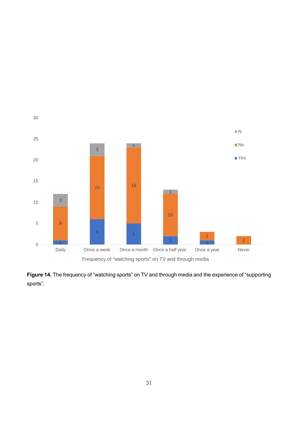

**Figure 14.** The frequency of "watching sports" on TV and through media and the experience of "supporting sports".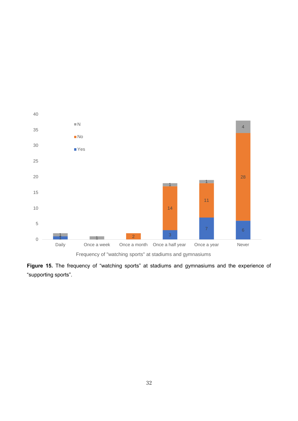

**Figure 15.** The frequency of "watching sports" at stadiums and gymnasiums and the experience of "supporting sports".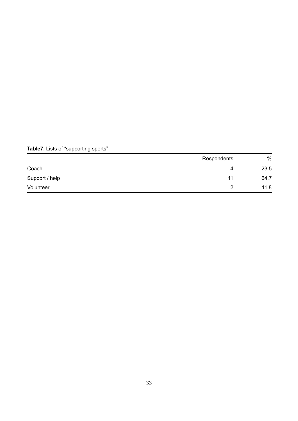# **Table7.** Lists of "supporting sports"

|                | Respondents | $\%$ |
|----------------|-------------|------|
| Coach          | 4           | 23.5 |
| Support / help | 11          | 64.7 |
| Volunteer      |             | 11.8 |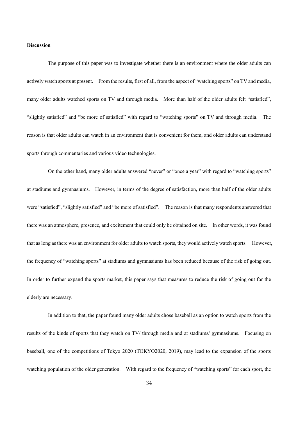#### **Discussion**

The purpose of this paper was to investigate whether there is an environment where the older adults can actively watch sports at present. From the results, first of all, from the aspect of "watching sports" on TV and media, many older adults watched sports on TV and through media. More than half of the older adults felt "satisfied", "slightly satisfied" and "be more of satisfied" with regard to "watching sports" on TV and through media. The reason is that older adults can watch in an environment that is convenient for them, and older adults can understand sports through commentaries and various video technologies.

On the other hand, many older adults answered "never" or "once a year" with regard to "watching sports" at stadiums and gymnasiums. However, in terms of the degree of satisfaction, more than half of the older adults were "satisfied", "slightly satisfied" and "be more of satisfied". The reason is that many respondents answered that there was an atmosphere, presence, and excitement that could only be obtained on site. In other words, it was found that as long as there was an environment for older adults to watch sports, they would actively watch sports. However, the frequency of "watching sports" at stadiums and gymnasiums has been reduced because of the risk of going out. In order to further expand the sports market, this paper says that measures to reduce the risk of going out for the elderly are necessary.

In addition to that, the paper found many older adults chose baseball as an option to watch sports from the results of the kinds of sports that they watch on TV/ through media and at stadiums/ gymnasiums. Focusing on baseball, one of the competitions of Tokyo 2020 (TOKYO2020, 2019), may lead to the expansion of the sports watching population of the older generation. With regard to the frequency of "watching sports" for each sport, the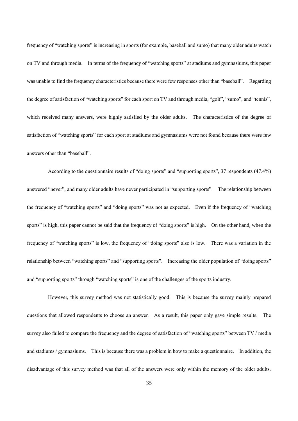frequency of "watching sports" is increasing in sports (for example, baseball and sumo) that many older adults watch on TV and through media. In terms of the frequency of "watching sports" at stadiums and gymnasiums, this paper was unable to find the frequency characteristics because there were few responses other than "baseball". Regarding the degree of satisfaction of "watching sports" for each sport on TV and through media, "golf", "sumo", and "tennis", which received many answers, were highly satisfied by the older adults. The characteristics of the degree of satisfaction of "watching sports" for each sport at stadiums and gymnasiums were not found because there were few answers other than "baseball".

According to the questionnaire results of "doing sports" and "supporting sports", 37 respondents (47.4%) answered "never", and many older adults have never participated in "supporting sports". The relationship between the frequency of "watching sports" and "doing sports" was not as expected. Even if the frequency of "watching sports" is high, this paper cannot be said that the frequency of "doing sports" is high. On the other hand, when the frequency of "watching sports" is low, the frequency of "doing sports" also is low. There was a variation in the relationship between "watching sports" and "supporting sports". Increasing the older population of "doing sports" and "supporting sports" through "watching sports" is one of the challenges of the sports industry.

However, this survey method was not statistically good. This is because the survey mainly prepared questions that allowed respondents to choose an answer. As a result, this paper only gave simple results. The survey also failed to compare the frequency and the degree of satisfaction of "watching sports" between TV / media and stadiums / gymnasiums. This is because there was a problem in how to make a questionnaire. In addition, the disadvantage of this survey method was that all of the answers were only within the memory of the older adults.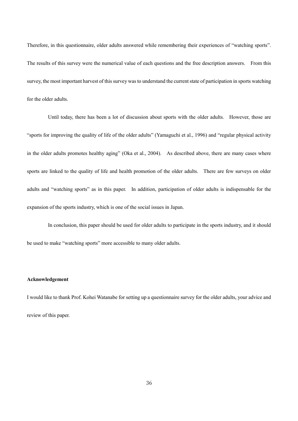Therefore, in this questionnaire, older adults answered while remembering their experiences of "watching sports". The results of this survey were the numerical value of each questions and the free description answers. From this survey, the most important harvest of this survey was to understand the current state of participation in sports watching for the older adults.

Until today, there has been a lot of discussion about sports with the older adults. However, those are "sports for improving the quality of life of the older adults" (Yamaguchi et al., 1996) and "regular physical activity in the older adults promotes healthy aging" (Oka et al., 2004). As described above, there are many cases where sports are linked to the quality of life and health promotion of the older adults. There are few surveys on older adults and "watching sports" as in this paper. In addition, participation of older adults is indispensable for the expansion of the sports industry, which is one of the social issues in Japan.

In conclusion, this paper should be used for older adults to participate in the sports industry, and it should be used to make "watching sports" more accessible to many older adults.

### **Acknowledgement**

I would like to thank Prof. Kohei Watanabe for setting up a questionnaire survey for the older adults, your advice and review of this paper.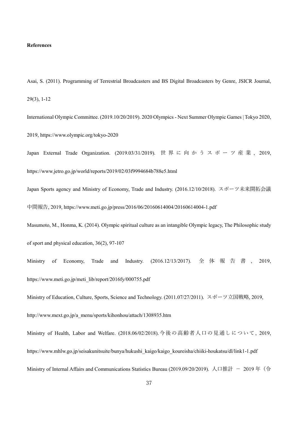#### **References**

Asai, S. (2011). Programming of Terrestrial Broadcasters and BS Digital Broadcasters by Genre, JSICR Journal, 29(3), 1-12

International Olympic Committee. (2019.10/20/2019). 2020 Olympics - Next Summer Olympic Games | Tokyo 2020, 2019,<https://www.olympic.org/tokyo-2020>

Japan External Trade Organization. (2019.03/31/2019). 世界に向かうスポーツ産業 , 2019, <https://www.jetro.go.jp/world/reports/2019/02/03f9994684b788e5.html>

Japan Sports agency and Ministry of Economy, Trade and Industry. (2016.12/10/2018). スポーツ未来開拓会議 中間報告, 2019,<https://www.meti.go.jp/press/2016/06/20160614004/20160614004-1.pdf>

Masumoto, M., Honma, K. (2014). Olympic spiritual culture as an intangible Olympic legacy, The Philosophic study of sport and physical education, 36(2), 97-107

Ministry of Economy, Trade and Industry. (2016.12/13/2017). 全体報告書 , 2019, [https://www.meti.go.jp/meti\\_lib/report/2016fy/000755.pdf](https://www.meti.go.jp/meti_lib/report/2016fy/000755.pdf)

Ministry of Education, Culture, Sports, Science and Technology. (2011.07/27/2011). スポーツ立国戦略, 2019, [http://www.mext.go.jp/a\\_menu/sports/kihonhou/attach/1308935.htm](http://www.mext.go.jp/a_menu/sports/kihonhou/attach/1308935.htm)

Ministry of Health, Labor and Welfare. (2018.06/02/2018).今後の高齢者人口の見通しについて, 2019, [https://www.mhlw.go.jp/seisakunitsuite/bunya/hukushi\\_kaigo/kaigo\\_koureisha/chiiki-houkatsu/dl/link1-1.pdf](https://www.mhlw.go.jp/seisakunitsuite/bunya/hukushi_kaigo/kaigo_koureisha/chiiki-houkatsu/dl/link1-1.pdf) Ministry of Internal Affairs and Communications Statistics Bureau (2019.09/20/2019). 人口推計 - 2019年(令